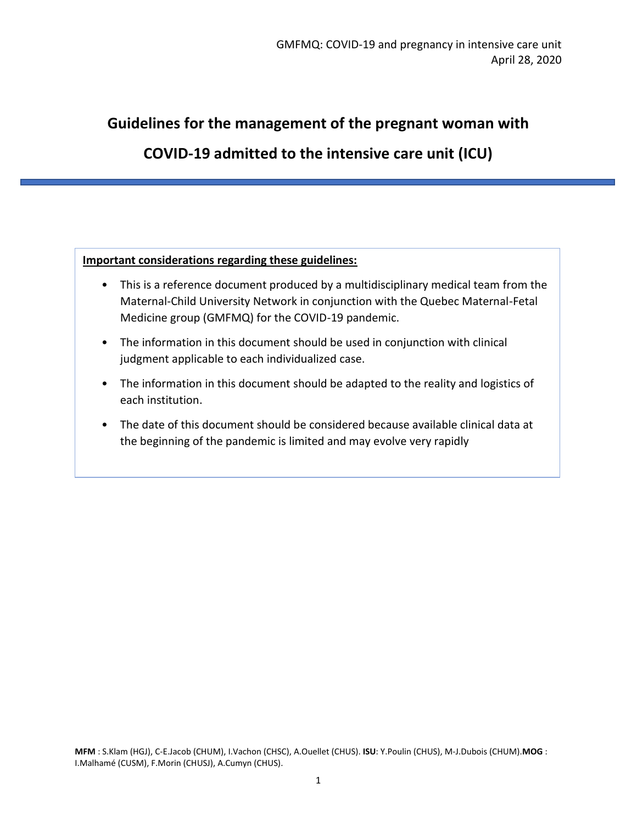# **Guidelines for the management of the pregnant woman with**

# **COVID-19 admitted to the intensive care unit (ICU)**

#### **Important considerations regarding these guidelines:**

- This is a reference document produced by a multidisciplinary medical team from the Maternal-Child University Network in conjunction with the Quebec Maternal-Fetal Medicine group (GMFMQ) for the COVID-19 pandemic.
- The information in this document should be used in conjunction with clinical judgment applicable to each individualized case.
- The information in this document should be adapted to the reality and logistics of each institution.
- The date of this document should be considered because available clinical data at the beginning of the pandemic is limited and may evolve very rapidly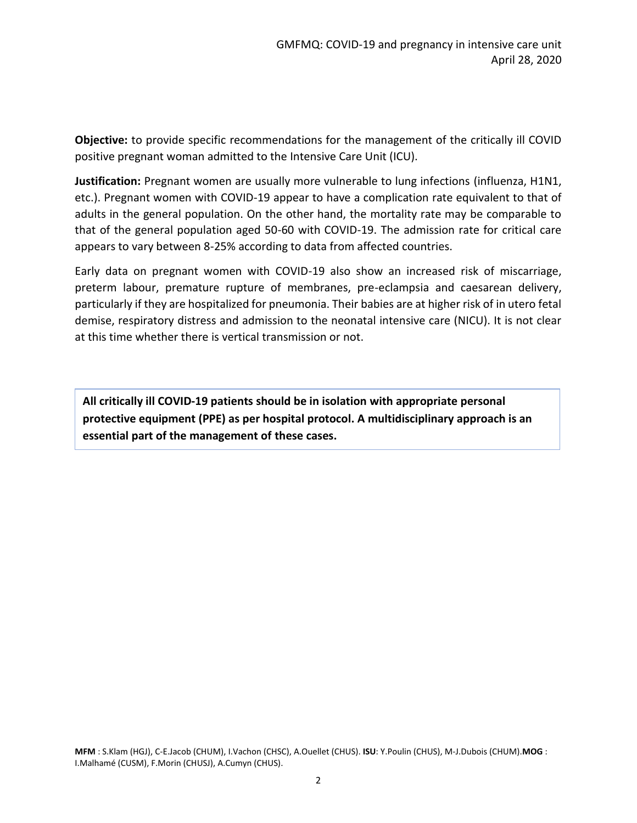**Objective:** to provide specific recommendations for the management of the critically ill COVID positive pregnant woman admitted to the Intensive Care Unit (ICU).

**Justification:** Pregnant women are usually more vulnerable to lung infections (influenza, H1N1, etc.). Pregnant women with COVID-19 appear to have a complication rate equivalent to that of adults in the general population. On the other hand, the mortality rate may be comparable to that of the general population aged 50-60 with COVID-19. The admission rate for critical care appears to vary between 8-25% according to data from affected countries.

Early data on pregnant women with COVID-19 also show an increased risk of miscarriage, preterm labour, premature rupture of membranes, pre-eclampsia and caesarean delivery, particularly if they are hospitalized for pneumonia. Their babies are at higher risk of in utero fetal demise, respiratory distress and admission to the neonatal intensive care (NICU). It is not clear at this time whether there is vertical transmission or not.

**All critically ill COVID-19 patients should be in isolation with appropriate personal protective equipment (PPE) as per hospital protocol. A multidisciplinary approach is an essential part of the management of these cases.**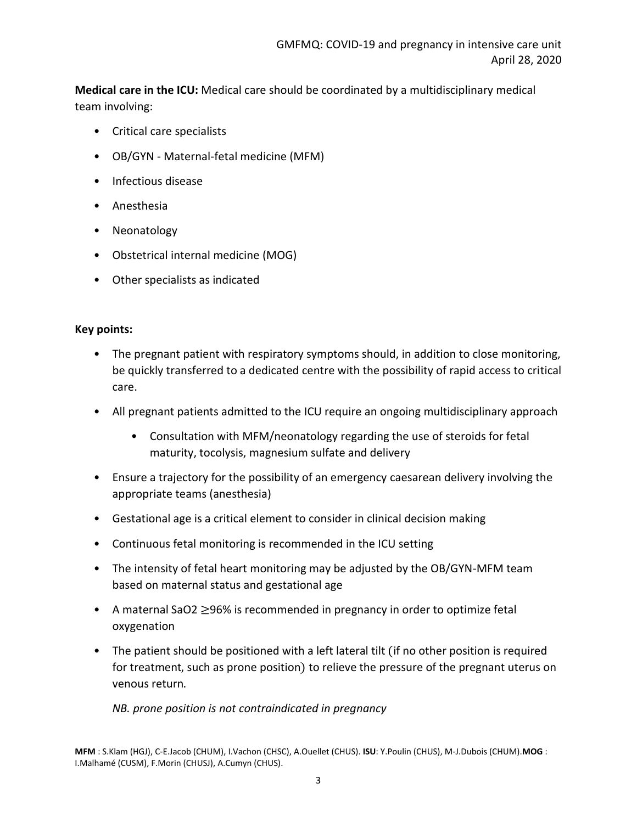**Medical care in the ICU:** Medical care should be coordinated by a multidisciplinary medical team involving:

- Critical care specialists
- OB/GYN Maternal-fetal medicine (MFM)
- Infectious disease
- Anesthesia
- Neonatology
- Obstetrical internal medicine (MOG)
- Other specialists as indicated

#### **Key points:**

- The pregnant patient with respiratory symptoms should, in addition to close monitoring, be quickly transferred to a dedicated centre with the possibility of rapid access to critical care.
- All pregnant patients admitted to the ICU require an ongoing multidisciplinary approach
	- Consultation with MFM/neonatology regarding the use of steroids for fetal maturity, tocolysis, magnesium sulfate and delivery
- Ensure a trajectory for the possibility of an emergency caesarean delivery involving the appropriate teams (anesthesia)
- Gestational age is a critical element to consider in clinical decision making
- Continuous fetal monitoring is recommended in the ICU setting
- The intensity of fetal heart monitoring may be adjusted by the OB/GYN-MFM team based on maternal status and gestational age
- A maternal SaO2 ≥96% is recommended in pregnancy in order to optimize fetal oxygenation
- The patient should be positioned with a left lateral tilt (if no other position is required for treatment, such as prone position) to relieve the pressure of the pregnant uterus on venous return.

*NB. prone position is not contraindicated in pregnancy*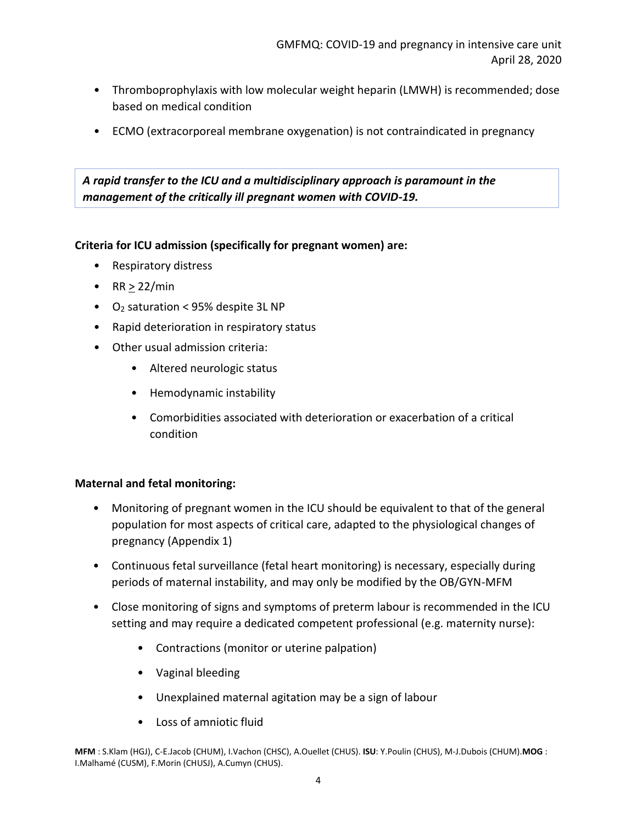- Thromboprophylaxis with low molecular weight heparin (LMWH) is recommended; dose based on medical condition
- ECMO (extracorporeal membrane oxygenation) is not contraindicated in pregnancy

## *A rapid transfer to the ICU and a multidisciplinary approach is paramount in the management of the critically ill pregnant women with COVID-19.*

#### **Criteria for ICU admission (specifically for pregnant women) are:**

- Respiratory distress
- $RR > 22/min$
- $\bullet$  O<sub>2</sub> saturation < 95% despite 3L NP
- Rapid deterioration in respiratory status
- Other usual admission criteria:
	- Altered neurologic status
	- Hemodynamic instability
	- Comorbidities associated with deterioration or exacerbation of a critical condition

#### **Maternal and fetal monitoring:**

- Monitoring of pregnant women in the ICU should be equivalent to that of the general population for most aspects of critical care, adapted to the physiological changes of pregnancy (Appendix 1)
- Continuous fetal surveillance (fetal heart monitoring) is necessary, especially during periods of maternal instability, and may only be modified by the OB/GYN-MFM
- Close monitoring of signs and symptoms of preterm labour is recommended in the ICU setting and may require a dedicated competent professional (e.g. maternity nurse):
	- Contractions (monitor or uterine palpation)
	- Vaginal bleeding
	- Unexplained maternal agitation may be a sign of labour
	- Loss of amniotic fluid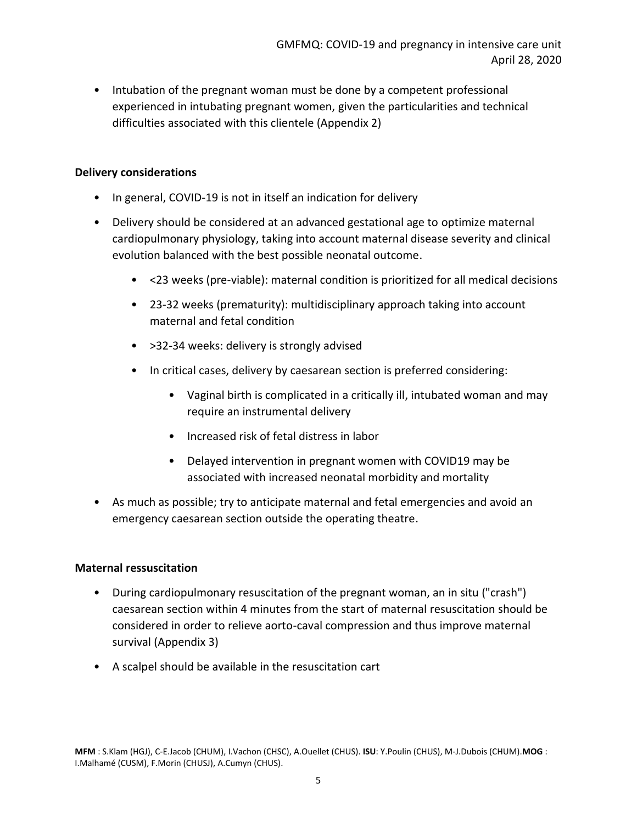• Intubation of the pregnant woman must be done by a competent professional experienced in intubating pregnant women, given the particularities and technical difficulties associated with this clientele (Appendix 2)

#### **Delivery considerations**

- In general, COVID-19 is not in itself an indication for delivery
- Delivery should be considered at an advanced gestational age to optimize maternal cardiopulmonary physiology, taking into account maternal disease severity and clinical evolution balanced with the best possible neonatal outcome.
	- <23 weeks (pre-viable): maternal condition is prioritized for all medical decisions
	- 23-32 weeks (prematurity): multidisciplinary approach taking into account maternal and fetal condition
	- >32-34 weeks: delivery is strongly advised
	- In critical cases, delivery by caesarean section is preferred considering:
		- Vaginal birth is complicated in a critically ill, intubated woman and may require an instrumental delivery
		- Increased risk of fetal distress in labor
		- Delayed intervention in pregnant women with COVID19 may be associated with increased neonatal morbidity and mortality
- As much as possible; try to anticipate maternal and fetal emergencies and avoid an emergency caesarean section outside the operating theatre.

#### **Maternal ressuscitation**

- During cardiopulmonary resuscitation of the pregnant woman, an in situ ("crash") caesarean section within 4 minutes from the start of maternal resuscitation should be considered in order to relieve aorto-caval compression and thus improve maternal survival (Appendix 3)
- A scalpel should be available in the resuscitation cart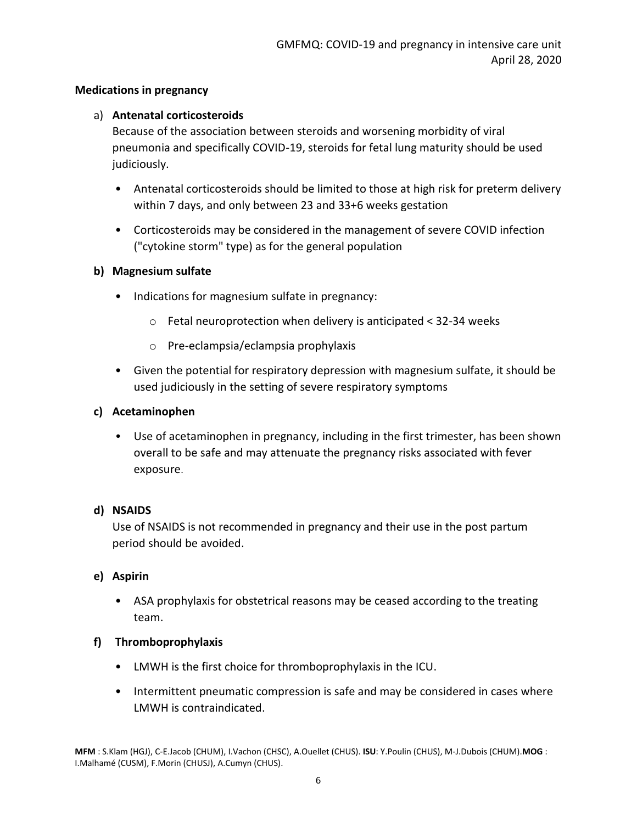### **Medications in pregnancy**

### a) **Antenatal corticosteroids**

Because of the association between steroids and worsening morbidity of viral pneumonia and specifically COVID-19, steroids for fetal lung maturity should be used judiciously.

- Antenatal corticosteroids should be limited to those at high risk for preterm delivery within 7 days, and only between 23 and 33+6 weeks gestation
- Corticosteroids may be considered in the management of severe COVID infection ("cytokine storm" type) as for the general population

#### **b) Magnesium sulfate**

- Indications for magnesium sulfate in pregnancy:
	- o Fetal neuroprotection when delivery is anticipated < 32-34 weeks
	- o Pre-eclampsia/eclampsia prophylaxis
- Given the potential for respiratory depression with magnesium sulfate, it should be used judiciously in the setting of severe respiratory symptoms

## **c) Acetaminophen**

• Use of acetaminophen in pregnancy, including in the first trimester, has been shown overall to be safe and may attenuate the pregnancy risks associated with fever exposure.

#### **d) NSAIDS**

Use of NSAIDS is not recommended in pregnancy and their use in the post partum period should be avoided.

#### **e) Aspirin**

• ASA prophylaxis for obstetrical reasons may be ceased according to the treating team.

#### **f) Thromboprophylaxis**

- LMWH is the first choice for thromboprophylaxis in the ICU.
- Intermittent pneumatic compression is safe and may be considered in cases where LMWH is contraindicated.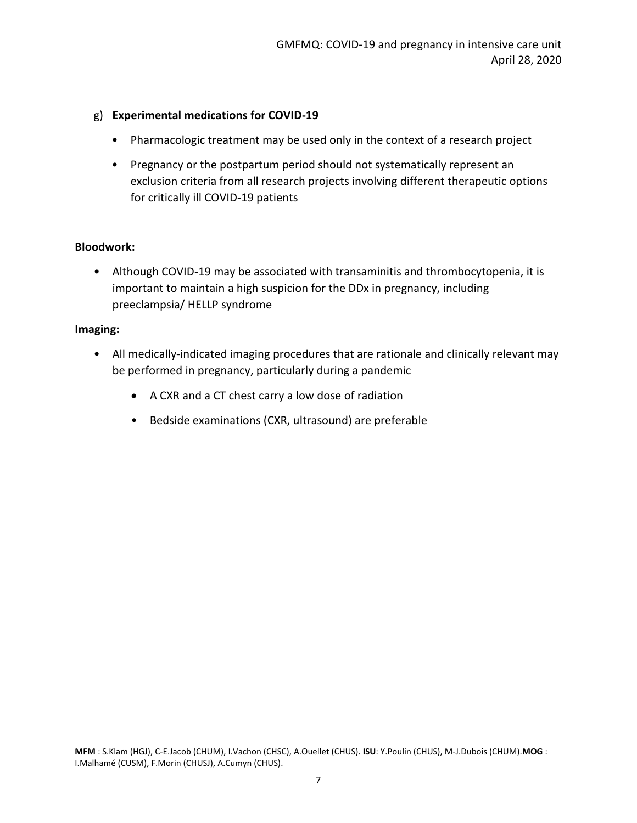#### g) **Experimental medications for COVID-19**

- Pharmacologic treatment may be used only in the context of a research project
- Pregnancy or the postpartum period should not systematically represent an exclusion criteria from all research projects involving different therapeutic options for critically ill COVID-19 patients

#### **Bloodwork:**

• Although COVID-19 may be associated with transaminitis and thrombocytopenia, it is important to maintain a high suspicion for the DDx in pregnancy, including preeclampsia/ HELLP syndrome

#### **Imaging:**

- All medically-indicated imaging procedures that are rationale and clinically relevant may be performed in pregnancy, particularly during a pandemic
	- A CXR and a CT chest carry a low dose of radiation
	- Bedside examinations (CXR, ultrasound) are preferable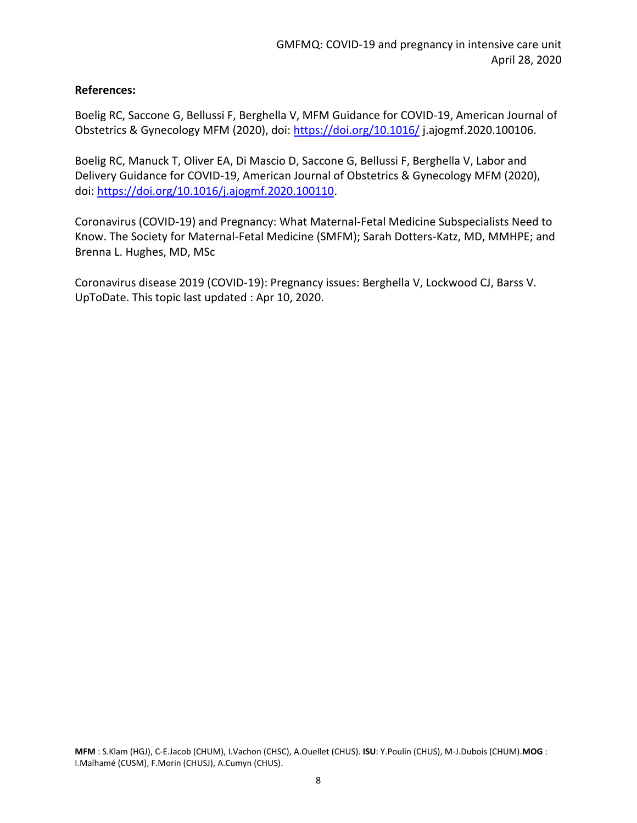### **References:**

Boelig RC, Saccone G, Bellussi F, Berghella V, MFM Guidance for COVID-19, American Journal of Obstetrics & Gynecology MFM (2020), doi:<https://doi.org/10.1016/> j.ajogmf.2020.100106.

Boelig RC, Manuck T, Oliver EA, Di Mascio D, Saccone G, Bellussi F, Berghella V, Labor and Delivery Guidance for COVID-19, American Journal of Obstetrics & Gynecology MFM (2020), doi: [https://doi.org/10.1016/j.ajogmf.2020.100110.](https://doi.org/10.1016/j.ajogmf.2020.100110)

Coronavirus (COVID-19) and Pregnancy: What Maternal-Fetal Medicine Subspecialists Need to Know. The Society for Maternal-Fetal Medicine (SMFM); Sarah Dotters-Katz, MD, MMHPE; and Brenna L. Hughes, MD, MSc

Coronavirus disease 2019 (COVID-19): Pregnancy issues: Berghella V, Lockwood CJ, Barss V. UpToDate. This topic last updated : Apr 10, 2020.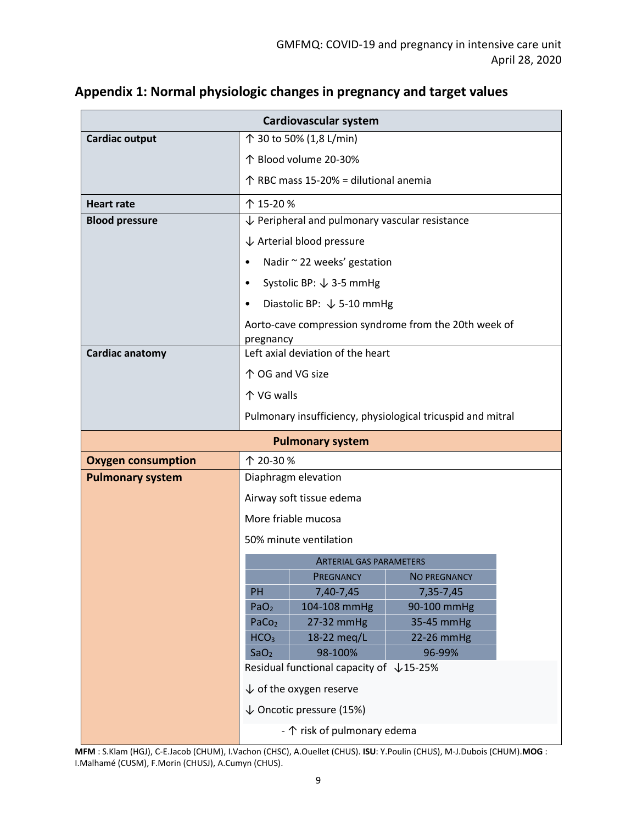| Cardiovascular system                                |                                                           |                                         |                                                             |  |
|------------------------------------------------------|-----------------------------------------------------------|-----------------------------------------|-------------------------------------------------------------|--|
| <b>Cardiac output</b>                                | ↑ 30 to 50% (1,8 L/min)                                   |                                         |                                                             |  |
|                                                      | 个 Blood volume 20-30%                                     |                                         |                                                             |  |
|                                                      | ↑ RBC mass 15-20% = dilutional anemia                     |                                         |                                                             |  |
| <b>Heart rate</b>                                    | 个 15-20%                                                  |                                         |                                                             |  |
| <b>Blood pressure</b>                                | $\downarrow$ Peripheral and pulmonary vascular resistance |                                         |                                                             |  |
|                                                      | $\downarrow$ Arterial blood pressure                      |                                         |                                                             |  |
|                                                      | Nadir ~ 22 weeks' gestation<br>$\bullet$                  |                                         |                                                             |  |
|                                                      | Systolic BP: $\downarrow$ 3-5 mmHg<br>$\bullet$           |                                         |                                                             |  |
|                                                      | Diastolic BP: $\sqrt{5-10}$ mmHg                          |                                         |                                                             |  |
|                                                      |                                                           |                                         | Aorto-cave compression syndrome from the 20th week of       |  |
|                                                      | pregnancy                                                 |                                         |                                                             |  |
| Cardiac anatomy                                      | Left axial deviation of the heart                         |                                         |                                                             |  |
|                                                      | ↑ OG and VG size                                          |                                         |                                                             |  |
|                                                      | 个 VG walls                                                |                                         |                                                             |  |
|                                                      |                                                           |                                         | Pulmonary insufficiency, physiological tricuspid and mitral |  |
| <b>Pulmonary system</b>                              |                                                           |                                         |                                                             |  |
|                                                      |                                                           |                                         |                                                             |  |
|                                                      | 个 20-30%                                                  |                                         |                                                             |  |
| <b>Oxygen consumption</b><br><b>Pulmonary system</b> |                                                           | Diaphragm elevation                     |                                                             |  |
|                                                      |                                                           | Airway soft tissue edema                |                                                             |  |
|                                                      |                                                           | More friable mucosa                     |                                                             |  |
|                                                      |                                                           | 50% minute ventilation                  |                                                             |  |
|                                                      |                                                           |                                         |                                                             |  |
|                                                      |                                                           | ARTERIAL GAS PARAMETERS<br>PREGNANCY    | <b>NO PREGNANCY</b>                                         |  |
|                                                      | <b>PH</b>                                                 | 7,40-7,45                               | 7,35-7,45                                                   |  |
|                                                      | PaO <sub>2</sub>                                          | 104-108 mmHg                            | 90-100 mmHg                                                 |  |
|                                                      | PaCo <sub>2</sub>                                         | 27-32 mmHg                              | 35-45 mmHg                                                  |  |
|                                                      | HCO <sub>3</sub>                                          | 18-22 meg/L                             | 22-26 mmHg                                                  |  |
|                                                      | SaO <sub>2</sub>                                          | 98-100%                                 | 96-99%                                                      |  |
|                                                      |                                                           | Residual functional capacity of ↓15-25% |                                                             |  |
|                                                      |                                                           | $\downarrow$ of the oxygen reserve      |                                                             |  |
|                                                      |                                                           | $\downarrow$ Oncotic pressure (15%)     |                                                             |  |

# **Appendix 1: Normal physiologic changes in pregnancy and target values**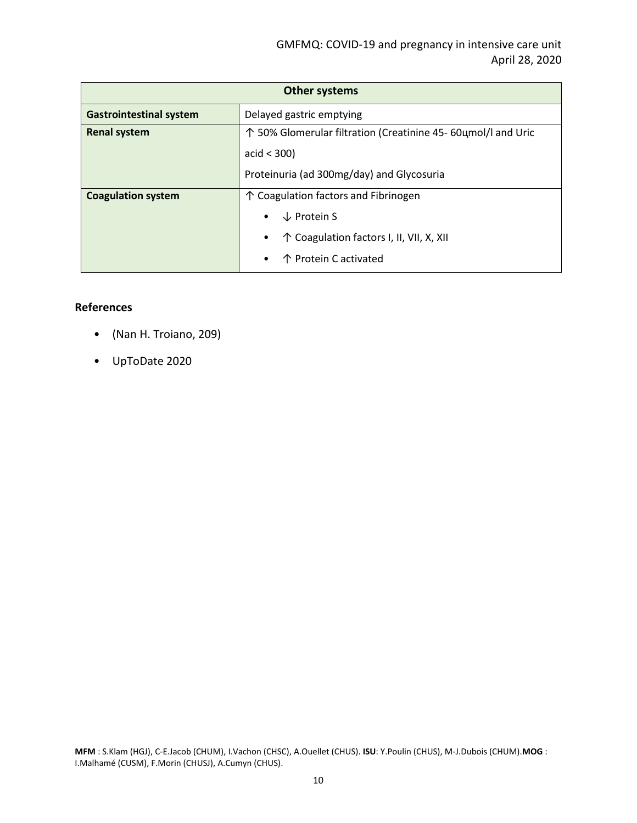| <b>Other systems</b>           |                                                               |  |  |
|--------------------------------|---------------------------------------------------------------|--|--|
| <b>Gastrointestinal system</b> | Delayed gastric emptying                                      |  |  |
| <b>Renal system</b>            | ↑ 50% Glomerular filtration (Creatinine 45- 60цmol/l and Uric |  |  |
|                                | acid $<$ 300)                                                 |  |  |
|                                | Proteinuria (ad 300mg/day) and Glycosuria                     |  |  |
| <b>Coagulation system</b>      | $\uparrow$ Coagulation factors and Fibrinogen                 |  |  |
|                                | $\downarrow$ Protein S                                        |  |  |
|                                | ↑ Coagulation factors I, II, VII, X, XII                      |  |  |
|                                | 个 Protein C activated                                         |  |  |

#### **References**

- (Nan H. Troiano, 209)
- UpToDate 2020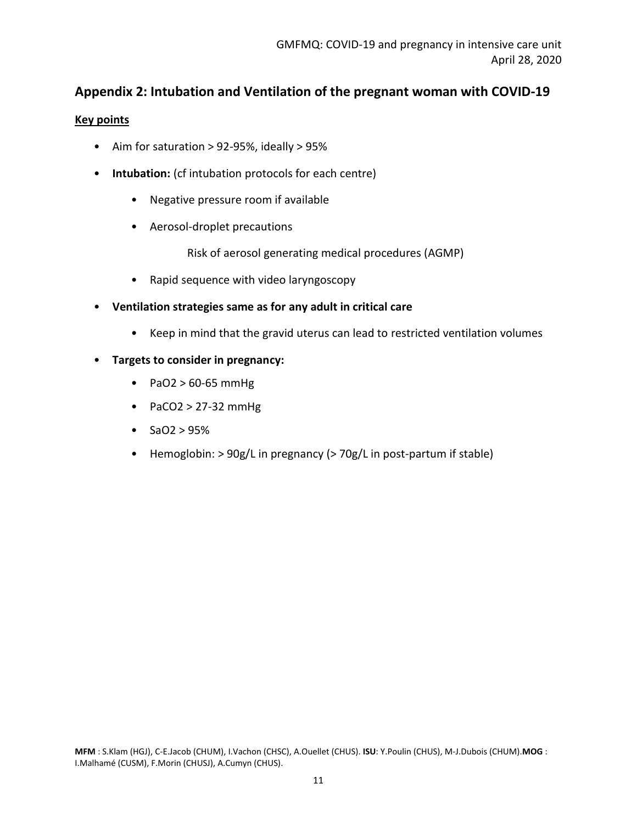# **Appendix 2: Intubation and Ventilation of the pregnant woman with COVID-19**

#### **Key points**

- Aim for saturation > 92-95%, ideally > 95%
- **Intubation:** (cf intubation protocols for each centre)
	- Negative pressure room if available
	- Aerosol-droplet precautions

Risk of aerosol generating medical procedures (AGMP)

- Rapid sequence with video laryngoscopy
- **Ventilation strategies same as for any adult in critical care** 
	- Keep in mind that the gravid uterus can lead to restricted ventilation volumes
- **Targets to consider in pregnancy:**
	- PaO2 > 60-65 mmHg
	- PaCO2 > 27-32 mmHg
	- $SaO2 > 95%$
	- Hemoglobin: > 90g/L in pregnancy (> 70g/L in post-partum if stable)